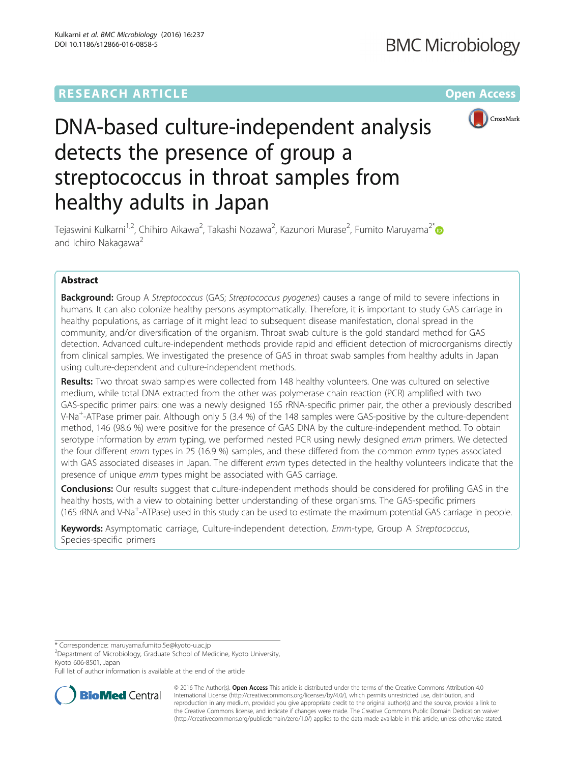## **RESEARCH ARTICLE Example 2014 CONSIDERING CONSIDERING CONSIDERING CONSIDERING CONSIDERING CONSIDERING CONSIDERING CONSIDERING CONSIDERING CONSIDERING CONSIDERING CONSIDERING CONSIDERING CONSIDERING CONSIDERING CONSIDE**



# DNA-based culture-independent analysis detects the presence of group a streptococcus in throat samples from healthy adults in Japan

Tejaswini Kulkarni<sup>1,2</sup>, Chihiro Aikawa<sup>2</sup>, Takashi Nozawa<sup>2</sup>, Kazunori Murase<sup>2</sup>, Fumito Maruyama<sup>2\*</sup> and Ichiro Nakagawa<sup>2</sup>

## Abstract

**Background:** Group A Streptococcus (GAS; Streptococcus pyogenes) causes a range of mild to severe infections in humans. It can also colonize healthy persons asymptomatically. Therefore, it is important to study GAS carriage in healthy populations, as carriage of it might lead to subsequent disease manifestation, clonal spread in the community, and/or diversification of the organism. Throat swab culture is the gold standard method for GAS detection. Advanced culture-independent methods provide rapid and efficient detection of microorganisms directly from clinical samples. We investigated the presence of GAS in throat swab samples from healthy adults in Japan using culture-dependent and culture-independent methods.

Results: Two throat swab samples were collected from 148 healthy volunteers. One was cultured on selective medium, while total DNA extracted from the other was polymerase chain reaction (PCR) amplified with two GAS-specific primer pairs: one was a newly designed 16S rRNA-specific primer pair, the other a previously described V-Na<sup>+</sup>-ATPase primer pair. Although only 5 (3.4 %) of the 148 samples were GAS-positive by the culture-dependent method, 146 (98.6 %) were positive for the presence of GAS DNA by the culture-independent method. To obtain serotype information by emm typing, we performed nested PCR using newly designed emm primers. We detected the four different emm types in 25 (16.9 %) samples, and these differed from the common emm types associated with GAS associated diseases in Japan. The different emm types detected in the healthy volunteers indicate that the presence of unique emm types might be associated with GAS carriage.

Conclusions: Our results suggest that culture-independent methods should be considered for profiling GAS in the healthy hosts, with a view to obtaining better understanding of these organisms. The GAS-specific primers (16S rRNA and V-Na<sup>+</sup>-ATPase) used in this study can be used to estimate the maximum potential GAS carriage in people.

Keywords: Asymptomatic carriage, Culture-independent detection, Emm-type, Group A Streptococcus, Species-specific primers

\* Correspondence: [maruyama.fumito.5e@kyoto-u.ac.jp](mailto:maruyama.fumito.5e@kyoto-u.ac.jp) <sup>2</sup>

Department of Microbiology, Graduate School of Medicine, Kyoto University, Kyoto 606-8501, Japan

Full list of author information is available at the end of the article



© 2016 The Author(s). Open Access This article is distributed under the terms of the Creative Commons Attribution 4.0 International License [\(http://creativecommons.org/licenses/by/4.0/](http://creativecommons.org/licenses/by/4.0/)), which permits unrestricted use, distribution, and reproduction in any medium, provided you give appropriate credit to the original author(s) and the source, provide a link to the Creative Commons license, and indicate if changes were made. The Creative Commons Public Domain Dedication waiver [\(http://creativecommons.org/publicdomain/zero/1.0/](http://creativecommons.org/publicdomain/zero/1.0/)) applies to the data made available in this article, unless otherwise stated.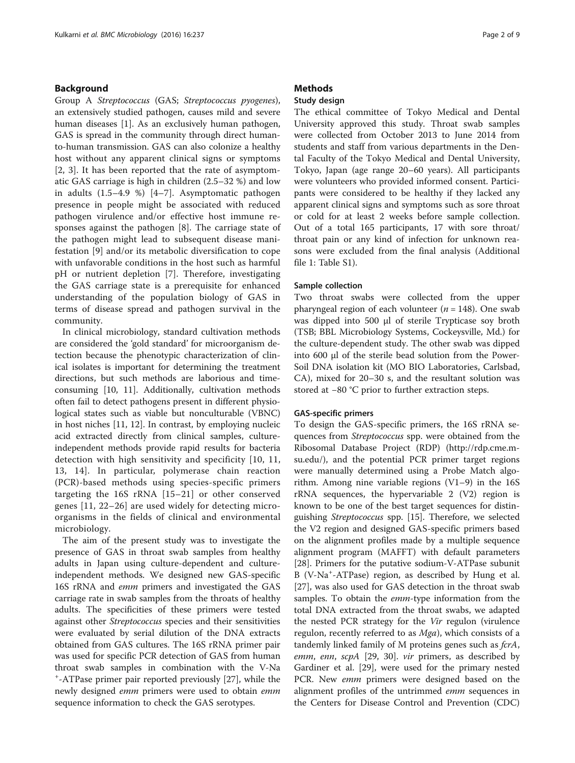## Background

Group A Streptococcus (GAS; Streptococcus pyogenes), an extensively studied pathogen, causes mild and severe human diseases [[1](#page-7-0)]. As an exclusively human pathogen, GAS is spread in the community through direct humanto-human transmission. GAS can also colonize a healthy host without any apparent clinical signs or symptoms [[2, 3\]](#page-7-0). It has been reported that the rate of asymptomatic GAS carriage is high in children (2.5–32 %) and low in adults (1.5–4.9 %) [[4](#page-7-0)–[7](#page-7-0)]. Asymptomatic pathogen presence in people might be associated with reduced pathogen virulence and/or effective host immune responses against the pathogen [[8\]](#page-7-0). The carriage state of the pathogen might lead to subsequent disease manifestation [[9\]](#page-7-0) and/or its metabolic diversification to cope with unfavorable conditions in the host such as harmful pH or nutrient depletion [\[7](#page-7-0)]. Therefore, investigating the GAS carriage state is a prerequisite for enhanced understanding of the population biology of GAS in terms of disease spread and pathogen survival in the community.

In clinical microbiology, standard cultivation methods are considered the 'gold standard' for microorganism detection because the phenotypic characterization of clinical isolates is important for determining the treatment directions, but such methods are laborious and timeconsuming [\[10](#page-7-0), [11\]](#page-7-0). Additionally, cultivation methods often fail to detect pathogens present in different physiological states such as viable but nonculturable (VBNC) in host niches [\[11, 12\]](#page-7-0). In contrast, by employing nucleic acid extracted directly from clinical samples, cultureindependent methods provide rapid results for bacteria detection with high sensitivity and specificity [[10, 11](#page-7-0), [13, 14](#page-7-0)]. In particular, polymerase chain reaction (PCR)-based methods using species-specific primers targeting the 16S rRNA [\[15](#page-7-0)–[21\]](#page-7-0) or other conserved genes [[11](#page-7-0), [22](#page-7-0)–[26\]](#page-7-0) are used widely for detecting microorganisms in the fields of clinical and environmental microbiology.

The aim of the present study was to investigate the presence of GAS in throat swab samples from healthy adults in Japan using culture-dependent and cultureindependent methods. We designed new GAS-specific 16S rRNA and emm primers and investigated the GAS carriage rate in swab samples from the throats of healthy adults. The specificities of these primers were tested against other Streptococcus species and their sensitivities were evaluated by serial dilution of the DNA extracts obtained from GAS cultures. The 16S rRNA primer pair was used for specific PCR detection of GAS from human throat swab samples in combination with the V-Na + -ATPase primer pair reported previously [[27](#page-7-0)], while the newly designed *emm* primers were used to obtain *emm* sequence information to check the GAS serotypes.

## **Methods**

## Study design

The ethical committee of Tokyo Medical and Dental University approved this study. Throat swab samples were collected from October 2013 to June 2014 from students and staff from various departments in the Dental Faculty of the Tokyo Medical and Dental University, Tokyo, Japan (age range 20–60 years). All participants were volunteers who provided informed consent. Participants were considered to be healthy if they lacked any apparent clinical signs and symptoms such as sore throat or cold for at least 2 weeks before sample collection. Out of a total 165 participants, 17 with sore throat/ throat pain or any kind of infection for unknown reasons were excluded from the final analysis (Additional file [1:](#page-6-0) Table S1).

#### Sample collection

Two throat swabs were collected from the upper pharyngeal region of each volunteer ( $n = 148$ ). One swab was dipped into 500 μl of sterile Trypticase soy broth (TSB; BBL Microbiology Systems, Cockeysville, Md.) for the culture-dependent study. The other swab was dipped into 600 μl of the sterile bead solution from the Power-Soil DNA isolation kit (MO BIO Laboratories, Carlsbad, CA), mixed for 20–30 s, and the resultant solution was stored at −80 °C prior to further extraction steps.

#### GAS-specific primers

To design the GAS-specific primers, the 16S rRNA sequences from Streptococcus spp. were obtained from the Ribosomal Database Project (RDP) [\(http://rdp.cme.m](http://rdp.cme.msu.edu/)[su.edu/](http://rdp.cme.msu.edu/)), and the potential PCR primer target regions were manually determined using a Probe Match algorithm. Among nine variable regions (V1–9) in the 16S rRNA sequences, the hypervariable 2 (V2) region is known to be one of the best target sequences for distinguishing Streptococcus spp. [\[15\]](#page-7-0). Therefore, we selected the V2 region and designed GAS-specific primers based on the alignment profiles made by a multiple sequence alignment program (MAFFT) with default parameters [[28\]](#page-7-0). Primers for the putative sodium-V-ATPase subunit B (V-Na<sup>+</sup> -ATPase) region, as described by Hung et al. [[27\]](#page-7-0), was also used for GAS detection in the throat swab samples. To obtain the *emm*-type information from the total DNA extracted from the throat swabs, we adapted the nested PCR strategy for the Vir regulon (virulence regulon, recently referred to as *Mga*), which consists of a tandemly linked family of M proteins genes such as *fcrA*, emm, enn, scpA [[29, 30](#page-7-0)]. vir primers, as described by Gardiner et al. [[29\]](#page-7-0), were used for the primary nested PCR. New *emm* primers were designed based on the alignment profiles of the untrimmed *emm* sequences in the Centers for Disease Control and Prevention (CDC)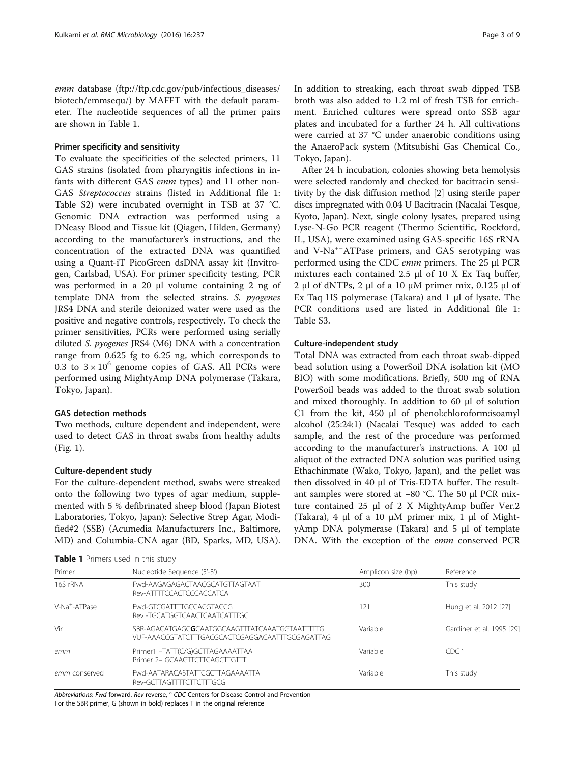emm database ([ftp://ftp.cdc.gov/pub/infectious\\_diseases/](ftp://ftp.cdc.gov/pub/infectious_diseases/biotech/emmsequ/) [biotech/emmsequ/\)](ftp://ftp.cdc.gov/pub/infectious_diseases/biotech/emmsequ/) by MAFFT with the default parameter. The nucleotide sequences of all the primer pairs are shown in Table 1.

### Primer specificity and sensitivity

To evaluate the specificities of the selected primers, 11 GAS strains (isolated from pharyngitis infections in infants with different GAS emm types) and 11 other non-GAS Streptococcus strains (listed in Additional file [1](#page-6-0): Table S2) were incubated overnight in TSB at 37 °C. Genomic DNA extraction was performed using a DNeasy Blood and Tissue kit (Qiagen, Hilden, Germany) according to the manufacturer's instructions, and the concentration of the extracted DNA was quantified using a Quant-iT PicoGreen dsDNA assay kit (Invitrogen, Carlsbad, USA). For primer specificity testing, PCR was performed in a 20 μl volume containing 2 ng of template DNA from the selected strains. S. pyogenes JRS4 DNA and sterile deionized water were used as the positive and negative controls, respectively. To check the primer sensitivities, PCRs were performed using serially diluted S. pyogenes JRS4 (M6) DNA with a concentration range from 0.625 fg to 6.25 ng, which corresponds to 0.3 to  $3 \times 10^6$  genome copies of GAS. All PCRs were performed using MightyAmp DNA polymerase (Takara, Tokyo, Japan).

## GAS detection methods

Two methods, culture dependent and independent, were used to detect GAS in throat swabs from healthy adults (Fig. [1](#page-3-0)).

### Culture-dependent study

For the culture-dependent method, swabs were streaked onto the following two types of agar medium, supplemented with 5 % defibrinated sheep blood (Japan Biotest Laboratories, Tokyo, Japan): Selective Strep Agar, Modified#2 (SSB) (Acumedia Manufacturers Inc., Baltimore, MD) and Columbia-CNA agar (BD, Sparks, MD, USA).

| Table 1 Primers used in this study |  |
|------------------------------------|--|
|------------------------------------|--|

In addition to streaking, each throat swab dipped TSB broth was also added to 1.2 ml of fresh TSB for enrichment. Enriched cultures were spread onto SSB agar plates and incubated for a further 24 h. All cultivations were carried at 37 °C under anaerobic conditions using the AnaeroPack system (Mitsubishi Gas Chemical Co., Tokyo, Japan).

After 24 h incubation, colonies showing beta hemolysis were selected randomly and checked for bacitracin sensitivity by the disk diffusion method [\[2](#page-7-0)] using sterile paper discs impregnated with 0.04 U Bacitracin (Nacalai Tesque, Kyoto, Japan). Next, single colony lysates, prepared using Lyse-N-Go PCR reagent (Thermo Scientific, Rockford, IL, USA), were examined using GAS-specific 16S rRNA and V-Na+<sup>−</sup> ATPase primers, and GAS serotyping was performed using the CDC emm primers. The 25 <sup>μ</sup>l PCR mixtures each contained 2.5 μl of 10 X Ex Taq buffer, 2 μl of dNTPs, 2 μl of a 10 μM primer mix, 0.125 μl of Ex Taq HS polymerase (Takara) and 1 μl of lysate. The PCR conditions used are listed in Additional file [1](#page-6-0): Table S3.

### Culture-independent study

Total DNA was extracted from each throat swab-dipped bead solution using a PowerSoil DNA isolation kit (MO BIO) with some modifications. Briefly, 500 mg of RNA PowerSoil beads was added to the throat swab solution and mixed thoroughly. In addition to 60 μl of solution C1 from the kit, 450 μl of phenol:chloroform:isoamyl alcohol (25:24:1) (Nacalai Tesque) was added to each sample, and the rest of the procedure was performed according to the manufacturer's instructions. A 100 μl aliquot of the extracted DNA solution was purified using Ethachinmate (Wako, Tokyo, Japan), and the pellet was then dissolved in 40 μl of Tris-EDTA buffer. The resultant samples were stored at −80 °C. The 50 μl PCR mixture contained 25 μl of 2 X MightyAmp buffer Ver.2 (Takara), 4 μl of a 10 μM primer mix, 1 μl of MightyAmp DNA polymerase (Takara) and 5 μl of template DNA. With the exception of the *emm* conserved PCR

| Primer                    | Nucleotide Sequence (5'-3')                                                                       | Amplicon size (bp) | Reference                 |
|---------------------------|---------------------------------------------------------------------------------------------------|--------------------|---------------------------|
| 16S rRNA                  | Fwd-AAGAGAGACTAACGCATGTTAGTAAT<br>Rev-ATTTTCCACTCCCACCATCA                                        | 300                | This study                |
| V-Na <sup>+</sup> -ATPase | Ewd-GTCGATTTTGCCACGTACCG<br>Rev -TGCATGGTCAACTCAATCATTTGC                                         | 121                | Hung et al. 2012 [27]     |
| Vir                       | SBR-AGACATGAGCGCAATGGCAAGTTTATCAAATGGTAATTTTTG<br>VUF-AAACCGTATCTTTGACGCACTCGAGGACAATTTGCGAGATTAG | Variable           | Gardiner et al. 1995 [29] |
| emm                       | Primer1 -TATT(C/G)GCTTAGAAAATTAA<br>Primer 2- GCAAGTTCTTCAGCTTGTTT                                | Variable           | CDC <sup>a</sup>          |
| emm conserved             | Fwd-AATARACASTATTCGCTTAGAAAATTA<br>Rev-GCTTAGTTTTCTTCTTTGCG                                       | Variable           | This study                |

Abbreviations: Fwd forward, Rev reverse, <sup>a</sup> CDC Centers for Disease Control and Prevention For the SBR primer, G (shown in bold) replaces T in the original reference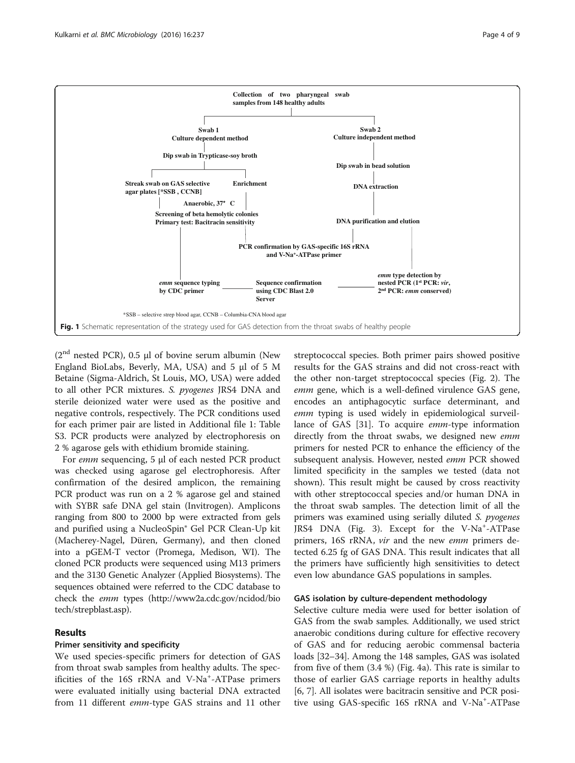<span id="page-3-0"></span>

 $(2<sup>nd</sup> nested PCR)$ , 0.5 µl of bovine serum albumin (New England BioLabs, Beverly, MA, USA) and 5 μl of 5 M Betaine (Sigma-Aldrich, St Louis, MO, USA) were added to all other PCR mixtures. S. pyogenes JRS4 DNA and sterile deionized water were used as the positive and negative controls, respectively. The PCR conditions used for each primer pair are listed in Additional file [1:](#page-6-0) Table S3. PCR products were analyzed by electrophoresis on 2 % agarose gels with ethidium bromide staining.

For emm sequencing, 5 <sup>μ</sup>l of each nested PCR product was checked using agarose gel electrophoresis. After confirmation of the desired amplicon, the remaining PCR product was run on a 2 % agarose gel and stained with SYBR safe DNA gel stain (Invitrogen). Amplicons ranging from 800 to 2000 bp were extracted from gels and purified using a NucleoSpin® Gel PCR Clean-Up kit (Macherey-Nagel, Düren, Germany), and then cloned into a pGEM-T vector (Promega, Medison, WI). The cloned PCR products were sequenced using M13 primers and the 3130 Genetic Analyzer (Applied Biosystems). The sequences obtained were referred to the CDC database to check the emm types ([http://www2a.cdc.gov/ncidod/bio](http://www2a.cdc.gov/ncidod/biotech/strepblast.asp) [tech/strepblast.asp\)](http://www2a.cdc.gov/ncidod/biotech/strepblast.asp).

## Results

## Primer sensitivity and specificity

We used species-specific primers for detection of GAS from throat swab samples from healthy adults. The specificities of the 16S rRNA and V-Na<sup>+</sup>-ATPase primers were evaluated initially using bacterial DNA extracted from 11 different *emm*-type GAS strains and 11 other

streptococcal species. Both primer pairs showed positive results for the GAS strains and did not cross-react with the other non-target streptococcal species (Fig. [2\)](#page-4-0). The emm gene, which is a well-defined virulence GAS gene, encodes an antiphagocytic surface determinant, and emm typing is used widely in epidemiological surveillance of GAS [[31\]](#page-7-0). To acquire emm-type information directly from the throat swabs, we designed new emm primers for nested PCR to enhance the efficiency of the subsequent analysis. However, nested emm PCR showed limited specificity in the samples we tested (data not shown). This result might be caused by cross reactivity with other streptococcal species and/or human DNA in the throat swab samples. The detection limit of all the primers was examined using serially diluted S. pyogenes JRS4 DNA (Fig. [3\)](#page-4-0). Except for the V-Na<sup>+</sup>-ATPase primers, 16S rRNA, *vir* and the new *emm* primers detected 6.25 fg of GAS DNA. This result indicates that all the primers have sufficiently high sensitivities to detect even low abundance GAS populations in samples.

## GAS isolation by culture-dependent methodology

Selective culture media were used for better isolation of GAS from the swab samples. Additionally, we used strict anaerobic conditions during culture for effective recovery of GAS and for reducing aerobic commensal bacteria loads [\[32](#page-7-0)–[34\]](#page-8-0). Among the 148 samples, GAS was isolated from five of them (3.4 %) (Fig. [4a\)](#page-5-0). This rate is similar to those of earlier GAS carriage reports in healthy adults [[6, 7\]](#page-7-0). All isolates were bacitracin sensitive and PCR positive using GAS-specific 16S rRNA and V-Na<sup>+</sup>-ATPase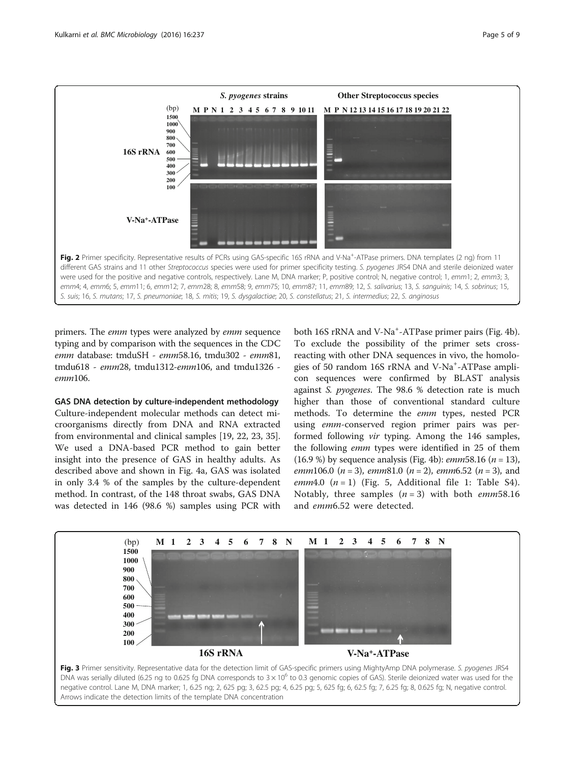<span id="page-4-0"></span>

primers. The *emm* types were analyzed by *emm* sequence typing and by comparison with the sequences in the CDC emm database: tmduSH - emm58.16, tmdu302 - emm81, tmdu618 - emm28, tmdu1312-emm106, and tmdu1326 emm106.

GAS DNA detection by culture-independent methodology Culture-independent molecular methods can detect microorganisms directly from DNA and RNA extracted from environmental and clinical samples [\[19](#page-7-0), [22](#page-7-0), [23](#page-7-0), [35](#page-8-0)]. We used a DNA-based PCR method to gain better insight into the presence of GAS in healthy adults. As described above and shown in Fig. [4a](#page-5-0), GAS was isolated in only 3.4 % of the samples by the culture-dependent method. In contrast, of the 148 throat swabs, GAS DNA was detected in 146 (98.6 %) samples using PCR with

both 16S rRNA and V-Na<sup>+</sup>-ATPase primer pairs (Fig. [4b](#page-5-0)). To exclude the possibility of the primer sets crossreacting with other DNA sequences in vivo, the homologies of 50 random 16S rRNA and V-Na<sup>+</sup>-ATPase amplicon sequences were confirmed by BLAST analysis against S. pyogenes. The 98.6 % detection rate is much higher than those of conventional standard culture methods. To determine the emm types, nested PCR using emm-conserved region primer pairs was performed following vir typing. Among the 146 samples, the following emm types were identified in 25 of them (16.9 %) by sequence analysis (Fig. [4b](#page-5-0)): *emm* 58.16 ( $n = 13$ ), emm106.0 ( $n = 3$ ), emm81.0 ( $n = 2$ ), emm6.52 ( $n = 3$ ), and emm4.0  $(n = 1)$  $(n = 1)$  $(n = 1)$  (Fig. [5,](#page-5-0) Additional file 1: Table S4). Notably, three samples  $(n = 3)$  with both emm58.16 and emm6.52 were detected.

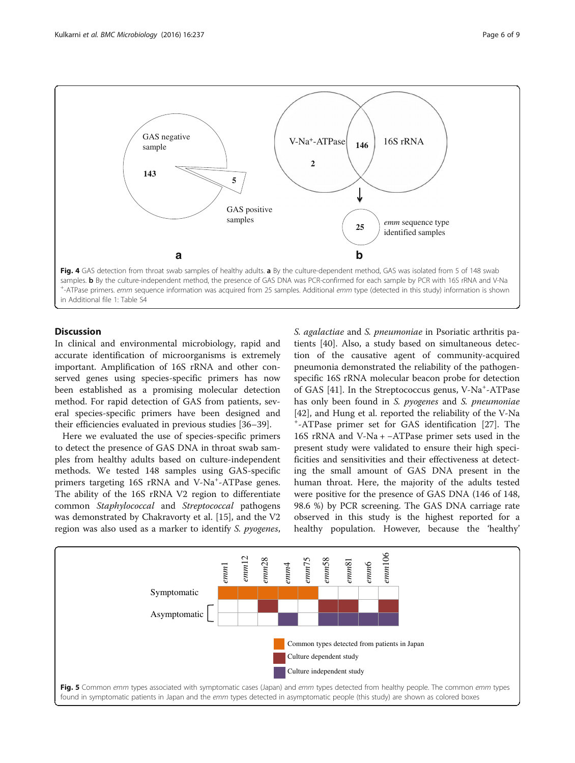<span id="page-5-0"></span>

## **Discussion**

In clinical and environmental microbiology, rapid and accurate identification of microorganisms is extremely important. Amplification of 16S rRNA and other conserved genes using species-specific primers has now been established as a promising molecular detection method. For rapid detection of GAS from patients, several species-specific primers have been designed and their efficiencies evaluated in previous studies [[36](#page-8-0)–[39](#page-8-0)].

Here we evaluated the use of species-specific primers to detect the presence of GAS DNA in throat swab samples from healthy adults based on culture-independent methods. We tested 148 samples using GAS-specific primers targeting 16S rRNA and V-Na<sup>+</sup>-ATPase genes. The ability of the 16S rRNA V2 region to differentiate common Staphylococcal and Streptococcal pathogens was demonstrated by Chakravorty et al. [[15\]](#page-7-0), and the V2 region was also used as a marker to identify S. pyogenes, S. agalactiae and S. pneumoniae in Psoriatic arthritis patients [[40](#page-8-0)]. Also, a study based on simultaneous detection of the causative agent of community-acquired pneumonia demonstrated the reliability of the pathogenspecific 16S rRNA molecular beacon probe for detection of GAS [[41\]](#page-8-0). In the Streptococcus genus, V-Na<sup>+</sup>-ATPase has only been found in S. *pyogenes* and S. *pneumoniae* [[42\]](#page-8-0), and Hung et al. reported the reliability of the V-Na + -ATPase primer set for GAS identification [\[27\]](#page-7-0). The 16S rRNA and V-Na + −ATPase primer sets used in the present study were validated to ensure their high specificities and sensitivities and their effectiveness at detecting the small amount of GAS DNA present in the human throat. Here, the majority of the adults tested were positive for the presence of GAS DNA (146 of 148, 98.6 %) by PCR screening. The GAS DNA carriage rate observed in this study is the highest reported for a healthy population. However, because the 'healthy'

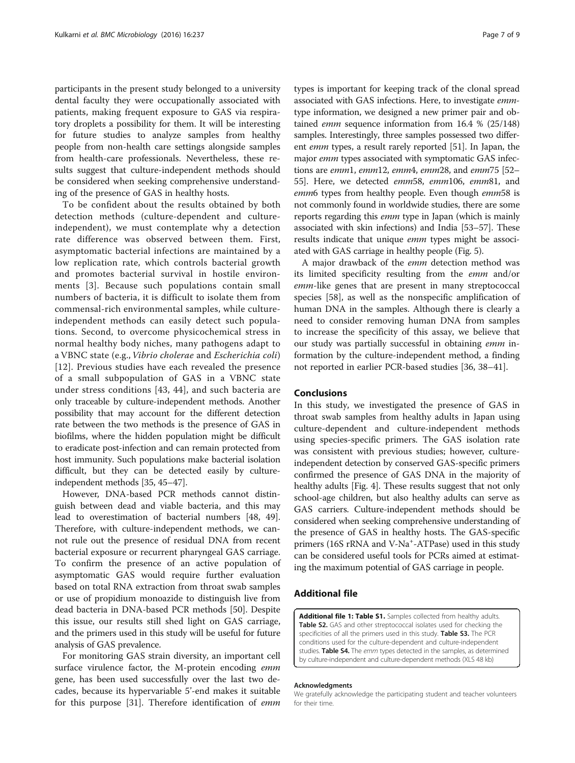<span id="page-6-0"></span>participants in the present study belonged to a university dental faculty they were occupationally associated with patients, making frequent exposure to GAS via respiratory droplets a possibility for them. It will be interesting for future studies to analyze samples from healthy people from non-health care settings alongside samples from health-care professionals. Nevertheless, these results suggest that culture-independent methods should be considered when seeking comprehensive understanding of the presence of GAS in healthy hosts.

To be confident about the results obtained by both detection methods (culture-dependent and cultureindependent), we must contemplate why a detection rate difference was observed between them. First, asymptomatic bacterial infections are maintained by a low replication rate, which controls bacterial growth and promotes bacterial survival in hostile environments [[3](#page-7-0)]. Because such populations contain small numbers of bacteria, it is difficult to isolate them from commensal-rich environmental samples, while cultureindependent methods can easily detect such populations. Second, to overcome physicochemical stress in normal healthy body niches, many pathogens adapt to a VBNC state (e.g., *Vibrio cholerae* and *Escherichia coli*) [[12](#page-7-0)]. Previous studies have each revealed the presence of a small subpopulation of GAS in a VBNC state under stress conditions [[43, 44\]](#page-8-0), and such bacteria are only traceable by culture-independent methods. Another possibility that may account for the different detection rate between the two methods is the presence of GAS in biofilms, where the hidden population might be difficult to eradicate post-infection and can remain protected from host immunity. Such populations make bacterial isolation difficult, but they can be detected easily by cultureindependent methods [\[35](#page-8-0), [45](#page-8-0)–[47\]](#page-8-0).

However, DNA-based PCR methods cannot distinguish between dead and viable bacteria, and this may lead to overestimation of bacterial numbers [[48, 49](#page-8-0)]. Therefore, with culture-independent methods, we cannot rule out the presence of residual DNA from recent bacterial exposure or recurrent pharyngeal GAS carriage. To confirm the presence of an active population of asymptomatic GAS would require further evaluation based on total RNA extraction from throat swab samples or use of propidium monoazide to distinguish live from dead bacteria in DNA-based PCR methods [\[50](#page-8-0)]. Despite this issue, our results still shed light on GAS carriage, and the primers used in this study will be useful for future analysis of GAS prevalence.

For monitoring GAS strain diversity, an important cell surface virulence factor, the M-protein encoding emm gene, has been used successfully over the last two decades, because its hypervariable 5'-end makes it suitable for this purpose [[31\]](#page-7-0). Therefore identification of emm types is important for keeping track of the clonal spread associated with GAS infections. Here, to investigate emm-

type information, we designed a new primer pair and obtained emm sequence information from 16.4 % (25/148) samples. Interestingly, three samples possessed two different emm types, a result rarely reported [\[51\]](#page-8-0). In Japan, the major emm types associated with symptomatic GAS infections are emm1, emm12, emm4, emm28, and emm75  $[52 [52-$ [55](#page-8-0)]. Here, we detected emm58, emm106, emm81, and emm6 types from healthy people. Even though emm58 is not commonly found in worldwide studies, there are some reports regarding this *emm* type in Japan (which is mainly associated with skin infections) and India [[53](#page-8-0)–[57\]](#page-8-0). These results indicate that unique *emm* types might be associated with GAS carriage in healthy people (Fig. [5](#page-5-0)).

A major drawback of the emm detection method was its limited specificity resulting from the emm and/or emm-like genes that are present in many streptococcal species [[58\]](#page-8-0), as well as the nonspecific amplification of human DNA in the samples. Although there is clearly a need to consider removing human DNA from samples to increase the specificity of this assay, we believe that our study was partially successful in obtaining emm information by the culture-independent method, a finding not reported in earlier PCR-based studies [[36](#page-8-0), [38](#page-8-0)–[41](#page-8-0)].

## Conclusions

In this study, we investigated the presence of GAS in throat swab samples from healthy adults in Japan using culture-dependent and culture-independent methods using species-specific primers. The GAS isolation rate was consistent with previous studies; however, cultureindependent detection by conserved GAS-specific primers confirmed the presence of GAS DNA in the majority of healthy adults [Fig. [4](#page-5-0)]. These results suggest that not only school-age children, but also healthy adults can serve as GAS carriers. Culture-independent methods should be considered when seeking comprehensive understanding of the presence of GAS in healthy hosts. The GAS-specific primers (16S rRNA and V-Na<sup>+</sup>-ATPase) used in this study can be considered useful tools for PCRs aimed at estimating the maximum potential of GAS carriage in people.

## Additional file

[Additional file 1: Table S1.](dx.doi.org/10.1186/s12866-016-0858-5) Samples collected from healthy adults. Table S2. GAS and other streptococcal isolates used for checking the specificities of all the primers used in this study. Table S3. The PCR conditions used for the culture-dependent and culture-independent studies. Table S4. The emm types detected in the samples, as determined by culture-independent and culture-dependent methods (XLS 48 kb)

#### Acknowledgments

We gratefully acknowledge the participating student and teacher volunteers for their time.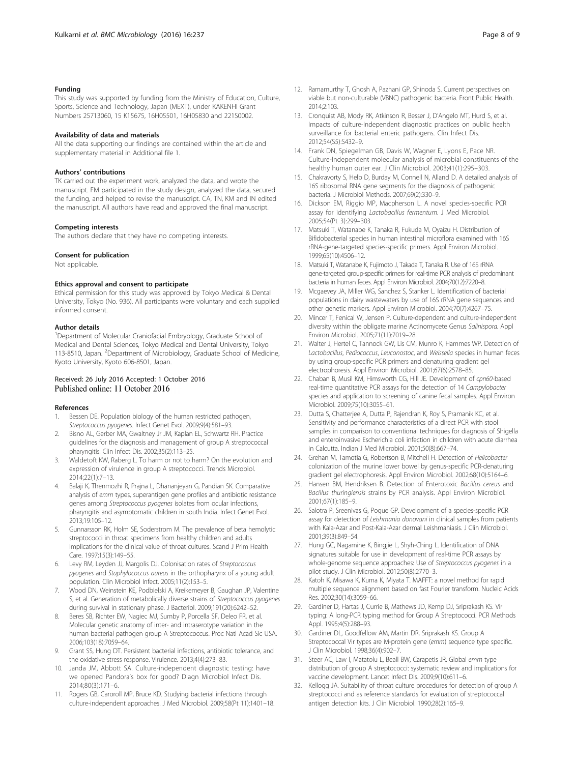#### <span id="page-7-0"></span>Funding

This study was supported by funding from the Ministry of Education, Culture, Sports, Science and Technology, Japan (MEXT), under KAKENHI Grant Numbers 25713060, 15 K15675, 16H05501, 16H05830 and 221S0002.

#### Availability of data and materials

All the data supporting our findings are contained within the article and supplementary material in Additional file [1](#page-6-0).

#### Authors' contributions

TK carried out the experiment work, analyzed the data, and wrote the manuscript. FM participated in the study design, analyzed the data, secured the funding, and helped to revise the manuscript. CA, TN, KM and IN edited the manuscript. All authors have read and approved the final manuscript.

#### Competing interests

The authors declare that they have no competing interests.

#### Consent for publication

Not applicable.

#### Ethics approval and consent to participate

Ethical permission for this study was approved by Tokyo Medical & Dental University, Tokyo (No. 936). All participants were voluntary and each supplied informed consent.

#### Author details

<sup>1</sup>Department of Molecular Craniofacial Embryology, Graduate School of Medical and Dental Sciences, Tokyo Medical and Dental University, Tokyo 113-8510, Japan. <sup>2</sup>Department of Microbiology, Graduate School of Medicine, Kyoto University, Kyoto 606-8501, Japan.

## Received: 26 July 2016 Accepted: 1 October 2016 Published online: 11 October 2016

#### References

- Bessen DE. Population biology of the human restricted pathogen, Streptococcus pyogenes. Infect Genet Evol. 2009;9(4):581–93.
- 2. Bisno AL, Gerber MA, Gwaltney Jr JM, Kaplan EL, Schwartz RH. Practice guidelines for the diagnosis and management of group A streptococcal pharyngitis. Clin Infect Dis. 2002;35(2):113–25.
- 3. Waldetoft KW, Raberg L. To harm or not to harm? On the evolution and expression of virulence in group A streptococci. Trends Microbiol. 2014;22(1):7–13.
- 4. Balaji K, Thenmozhi R, Prajna L, Dhananjeyan G, Pandian SK. Comparative analysis of emm types, superantigen gene profiles and antibiotic resistance genes among Streptococcus pyogenes isolates from ocular infections, pharyngitis and asymptomatic children in south India. Infect Genet Evol. 2013;19:105–12.
- 5. Gunnarsson RK, Holm SE, Soderstrom M. The prevalence of beta hemolytic streptococci in throat specimens from healthy children and adults Implications for the clinical value of throat cultures. Scand J Prim Health Care. 1997;15(3):149–55.
- 6. Levy RM, Leyden JJ, Margolis DJ. Colonisation rates of Streptococcus pyogenes and Staphylococcus aureus in the orthopharynx of a young adult population. Clin Microbiol Infect. 2005;11(2):153–5.
- 7. Wood DN, Weinstein KE, Podbielski A, Kreikemeyer B, Gaughan JP, Valentine S, et al. Generation of metabolically diverse strains of Streptococcus pyogenes during survival in stationary phase. J Bacteriol. 2009;191(20):6242–52.
- Beres SB, Richter EW, Nagiec MJ, Sumby P, Porcella SF, Deleo FR, et al. Molecular genetic anatomy of inter- and intraserotype variation in the human bacterial pathogen group A Streptococcus. Proc Natl Acad Sic USA. 2006;103(18):7059–64.
- 9. Grant SS, Hung DT. Persistent bacterial infections, antibiotic tolerance, and the oxidative stress response. Virulence. 2013;4(4):273–83.
- 10. Janda JM, Abbott SA. Culture-independent diagnostic testing: have we opened Pandora's box for good? Diagn Microbiol Infect Dis. 2014;80(3):171–6.
- 11. Rogers GB, Caroroll MP, Bruce KD. Studying bacterial infections through culture-independent approaches. J Med Microbiol. 2009;58(Pt 11):1401–18.
- 12. Ramamurthy T, Ghosh A, Pazhani GP, Shinoda S. Current perspectives on viable but non-culturable (VBNC) pathogenic bacteria. Front Public Health. 2014;2:103.
- 13. Cronquist AB, Mody RK, Atkinson R, Besser J, D'Angelo MT, Hurd S, et al. Impacts of culture-Independent diagnostic practices on public health surveillance for bacterial enteric pathogens. Clin Infect Dis. 2012;54(S5):S432–9.
- 14. Frank DN, Spiegelman GB, Davis W, Wagner E, Lyons E, Pace NR. Culture-Independent molecular analysis of microbial constituents of the healthy human outer ear. J Clin Microbiol. 2003;41(1):295–303.
- 15. Chakravorty S, Helb D, Burday M, Connell N, Alland D. A detailed analysis of 16S ribosomal RNA gene segments for the diagnosis of pathogenic bacteria. J Microbiol Methods. 2007;69(2):330–9.
- 16. Dickson EM, Riggio MP, Macpherson L. A novel species-specific PCR assay for identifying Lactobacillus fermentum. J Med Microbiol. 2005;54(Pt 3):299–303.
- 17. Matsuki T, Watanabe K, Tanaka R, Fukuda M, Oyaizu H. Distribution of Bifidobacterial species in human intestinal microflora examined with 16S rRNA-gene-targeted species-specific primers. Appl Environ Microbiol. 1999;65(10):4506–12.
- 18. Matsuki T, Watanabe K, Fujimoto J, Takada T, Tanaka R. Use of 16S rRNA gene-targeted group-specific primers for real-time PCR analysis of predominant bacteria in human feces. Appl Environ Microbiol. 2004;70(12):7220–8.
- 19. Mcgaevey JA, Miller WG, Sanchez S, Stanker L. Identification of bacterial populations in dairy wastewaters by use of 16S rRNA gene sequences and other genetic markers. Appl Environ Microbiol. 2004;70(7):4267–75.
- 20. Mincer T, Fenical W, Jensen P. Culture-dependent and culture-independent diversity within the obligate marine Actinomycete Genus Salinispora. Appl Environ Microbiol. 2005;71(11):7019–28.
- 21. Walter J, Hertel C, Tannock GW, Lis CM, Munro K, Hammes WP. Detection of Lactobacillus, Pediococcus, Leuconostoc, and Weissella species in human feces by using group-specific PCR primers and denaturing gradient gel electrophoresis. Appl Environ Microbiol. 2001;67(6):2578–85.
- 22. Chaban B, Musil KM, Himsworth CG, Hill JE. Development of cpn60-based real-time quantitative PCR assays for the detection of 14 Campylobacter species and application to screening of canine fecal samples. Appl Environ Microbiol. 2009;75(10):3055–61.
- 23. Dutta S, Chatterjee A, Dutta P, Rajendran K, Roy S, Pramanik KC, et al. Sensitivity and performance characteristics of a direct PCR with stool samples in comparison to conventional techniques for diagnosis of Shigella and enteroinvasive Escherichia coli infection in children with acute diarrhea in Calcutta. Indian J Med Microbiol. 2001;50(8):667–74.
- 24. Grehan M, Tamotia G, Robertson B, Mitchell H. Detection of Helicobacter colonization of the murine lower bowel by genus-specific PCR-denaturing gradient gel electrophoresis. Appl Environ Microbiol. 2002;68(10):5164–6.
- 25. Hansen BM, Hendriksen B. Detection of Enterotoxic Bacillus cereus and Bacillus thuringiensis strains by PCR analysis. Appl Environ Microbiol. 2001;67(1):185–9.
- 26. Salotra P, Sreenivas G, Pogue GP. Development of a species-specific PCR assay for detection of Leishmania donovani in clinical samples from patients with Kala-Azar and Post-Kala-Azar dermal Leishmaniasis. J Clin Microbiol. 2001;39(3):849–54.
- 27. Hung GC, Nagamine K, Bingjie L, Shyh-Ching L. Identification of DNA signatures suitable for use in development of real-time PCR assays by whole-genome sequence approaches: Use of Streptococcus pyogenes in a pilot study. J Clin Microbiol. 2012;50(8):2770–3.
- 28. Katoh K, Misawa K, Kuma K, Miyata T. MAFFT: a novel method for rapid multiple sequence alignment based on fast Fourier transform. Nucleic Acids Res. 2002;30(14):3059–66.
- 29. Gardiner D, Hartas J, Currie B, Mathews JD, Kemp DJ, Sriprakash KS. Vir typing: A long-PCR typing method for Group A Streptococci. PCR Methods Appl. 1995;4(5):288–93.
- 30. Gardiner DL, Goodfellow AM, Martin DR, Sriprakash KS. Group A Streptococcal Vir types are M-protein gene (emm) sequence type specific. J Clin Microbiol. 1998;36(4):902–7.
- 31. Steer AC, Law I, Matatolu L, Beall BW, Carapetis JR. Global emm type distribution of group A streptococci: systematic review and implications for vaccine development. Lancet Infect Dis. 2009;9(10):611–6.
- 32. Kellogg JA. Suitability of throat culture procedures for detection of group A streptococci and as reference standards for evaluation of streptococcal antigen detection kits. J Clin Microbiol. 1990;28(2):165–9.